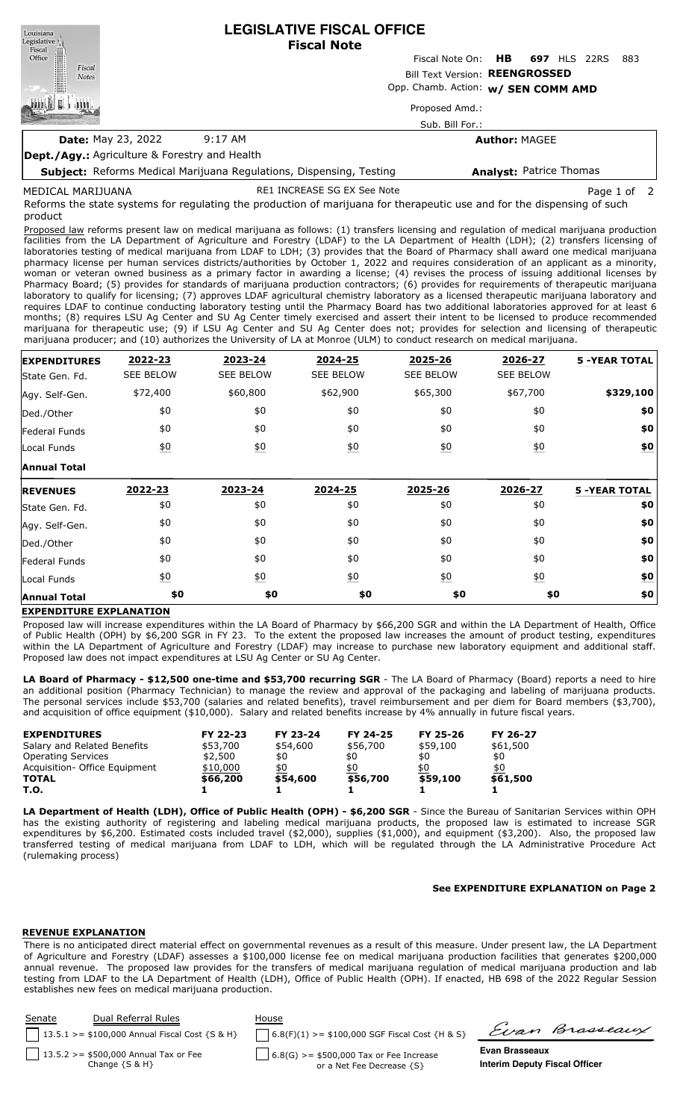**LEGISLATIVE FISCAL OFFICE** Louisiana Legislative<sup>1</sup> **Fiscal Note** Fiscal Office Fiscal Note On: **HB 697** HLS 22RS 883 Fiscal Bill Text Version: **REENGROSSED Notes** Opp. Chamb. Action: **w/ SEN COMM AMD** L Proposed Amd.: Sub. Bill For.: **Date:** May 23, 2022 9:17 AM **Author:** MAGEE **Dept./Agy.:** Agriculture & Forestry and Health **Analyst:** Patrice Thomas

**Subject:** Reforms Medical Marijuana Regulations, Dispensing, Testing

RE1 INCREASE SG EX See Note **Page 1** of 2

Reforms the state systems for regulating the production of marijuana for therapeutic use and for the dispensing of such product MEDICAL MARIJUANA

Proposed law reforms present law on medical marijuana as follows: (1) transfers licensing and regulation of medical marijuana production facilities from the LA Department of Agriculture and Forestry (LDAF) to the LA Department of Health (LDH); (2) transfers licensing of laboratories testing of medical marijuana from LDAF to LDH; (3) provides that the Board of Pharmacy shall award one medical marijuana pharmacy license per human services districts/authorities by October 1, 2022 and requires consideration of an applicant as a minority, woman or veteran owned business as a primary factor in awarding a license; (4) revises the process of issuing additional licenses by Pharmacy Board; (5) provides for standards of marijuana production contractors; (6) provides for requirements of therapeutic marijuana laboratory to qualify for licensing; (7) approves LDAF agricultural chemistry laboratory as a licensed therapeutic marijuana laboratory and requires LDAF to continue conducting laboratory testing until the Pharmacy Board has two additional laboratories approved for at least 6 months; (8) requires LSU Ag Center and SU Ag Center timely exercised and assert their intent to be licensed to produce recommended marijuana for therapeutic use; (9) if LSU Ag Center and SU Ag Center does not; provides for selection and licensing of therapeutic marijuana producer; and (10) authorizes the University of LA at Monroe (ULM) to conduct research on medical marijuana.

| <b>EXPENDITURES</b> | 2022-23           | 2023-24           | 2024-25          | 2025-26          | 2026-27          | <b>5 -YEAR TOTAL</b> |
|---------------------|-------------------|-------------------|------------------|------------------|------------------|----------------------|
| State Gen. Fd.      | <b>SEE BELOW</b>  | <b>SEE BELOW</b>  | <b>SEE BELOW</b> | <b>SEE BELOW</b> | <b>SEE BELOW</b> |                      |
| Agy. Self-Gen.      | \$72,400          | \$60,800          | \$62,900         | \$65,300         | \$67,700         | \$329,100            |
| Ded./Other          | \$0               | \$0               | \$0              | \$0              | \$0              | \$0                  |
| Federal Funds       | \$0               | \$0               | \$0              | \$0              | \$0              | \$0                  |
| Local Funds         | $\underline{\$0}$ | $\underline{40}$  | $\underline{40}$ | 60               | $\underline{50}$ | \$0                  |
| <b>Annual Total</b> |                   |                   |                  |                  |                  |                      |
| <b>REVENUES</b>     | 2022-23           | 2023-24           | 2024-25          | 2025-26          | 2026-27          | <b>5 -YEAR TOTAL</b> |
| State Gen. Fd.      | \$0               | \$0               | \$0              | \$0              | \$0              | \$0                  |
| Agy. Self-Gen.      | \$0               | \$0               | \$0              | \$0              | \$0              | \$0                  |
| Ded./Other          | \$0               | \$0               | \$0              | \$0              | \$0              | \$0                  |
| Federal Funds       | \$0               | \$0               | \$0              | \$0              | \$0              | \$0                  |
| Local Funds         | $\underline{50}$  | $\underline{\$0}$ | $\underline{50}$ | $\underline{50}$ | $\underline{50}$ | \$0                  |
| <b>Annual Total</b> | \$0               | \$0               | \$0              | \$0              | \$0              | \$0                  |

## **EXPENDITURE EXPLANATION**

Proposed law will increase expenditures within the LA Board of Pharmacy by \$66,200 SGR and within the LA Department of Health, Office of Public Health (OPH) by \$6,200 SGR in FY 23. To the extent the proposed law increases the amount of product testing, expenditures within the LA Department of Agriculture and Forestry (LDAF) may increase to purchase new laboratory equipment and additional staff. Proposed law does not impact expenditures at LSU Ag Center or SU Ag Center.

**LA Board of Pharmacy - \$12,500 one-time and \$53,700 recurring SGR** - The LA Board of Pharmacy (Board) reports a need to hire an additional position (Pharmacy Technician) to manage the review and approval of the packaging and labeling of marijuana products. The personal services include \$53,700 (salaries and related benefits), travel reimbursement and per diem for Board members (\$3,700), and acquisition of office equipment (\$10,000). Salary and related benefits increase by 4% annually in future fiscal years.

| <b>EXPENDITURES</b>           | FY 22-23 | FY 23-24 | FY 24-25 | FY 25-26 | FY 26-27 |
|-------------------------------|----------|----------|----------|----------|----------|
| Salary and Related Benefits   | \$53,700 | \$54,600 | \$56,700 | \$59,100 | \$61,500 |
| <b>Operating Services</b>     | \$2,500  | \$0      | \$0      | \$0      | \$0      |
| Acquisition- Office Equipment | \$10,000 | \$0      | \$0      | \$0      | \$0      |
| <b>TOTAL</b>                  | \$66,200 | \$54,600 | \$56,700 | \$59,100 | \$61,500 |
| T.O.                          |          |          |          |          |          |

**LA Department of Health (LDH), Office of Public Health (OPH) - \$6,200 SGR** - Since the Bureau of Sanitarian Services within OPH has the existing authority of registering and labeling medical marijuana products, the proposed law is estimated to increase SGR expenditures by \$6,200. Estimated costs included travel (\$2,000), supplies (\$1,000), and equipment (\$3,200). Also, the proposed law transferred testing of medical marijuana from LDAF to LDH, which will be regulated through the LA Administrative Procedure Act (rulemaking process)

#### **See EXPENDITURE EXPLANATION on Page 2**

## **REVENUE EXPLANATION**

There is no anticipated direct material effect on governmental revenues as a result of this measure. Under present law, the LA Department of Agriculture and Forestry (LDAF) assesses a \$100,000 license fee on medical marijuana production facilities that generates \$200,000 annual revenue. The proposed law provides for the transfers of medical marijuana regulation of medical marijuana production and lab testing from LDAF to the LA Department of Health (LDH), Office of Public Health (OPH). If enacted, HB 698 of the 2022 Regular Session establishes new fees on medical marijuana production.

| Dual Referral Rules<br>Senate                                  | House |                                                                                          |                                      |
|----------------------------------------------------------------|-------|------------------------------------------------------------------------------------------|--------------------------------------|
| 13.5.1 > = $$100,000$ Annual Fiscal Cost {S & H}               |       | $6.8(F)(1)$ >= \$100,000 SGF Fiscal Cost {H & S}                                         | Evan Brasseaux                       |
| $13.5.2 > = $500,000$ Annual Tax or Fee<br>Change $\{S \& H\}$ |       | Evan Brasseaux<br>$6.8(G)$ >= \$500,000 Tax or Fee Increase<br>or a Net Fee Decrease {S} | <b>Interim Deputy Fiscal Officer</b> |